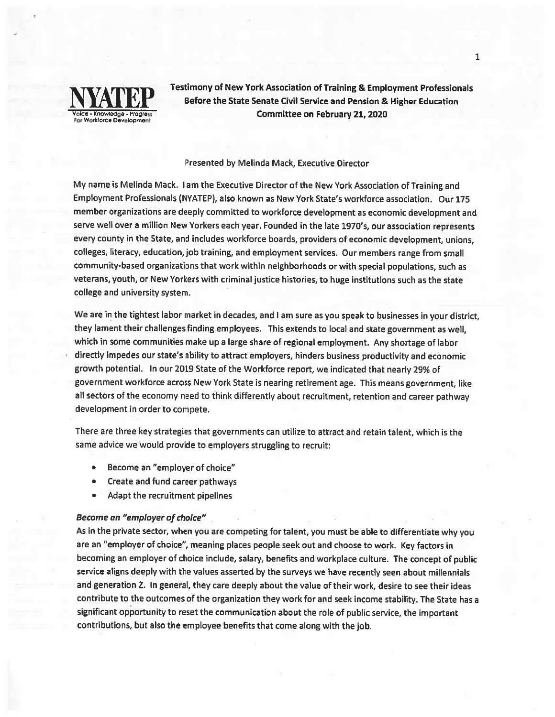

Testimony of New York Association of Training & Employment Professionals Before the State Senate Civil Service and Pension & Higher Education Committee on February 21, 2020

### Presented by Melinda Mack, Executive Director

My name is Melinda Mack. <sup>I</sup> am the Executive Director of the New York Association of Training and Employment Professionals (NYATEP), also known as New York State's workforce association. Our 175 member organizations are deeply committed to workforce development as economic development and serve well over <sup>a</sup> million New Yorkers each year. Founded in the late 1970's, our association represents every county in the State, and includes workforce boards, providers of economic development, unions, colleges, literacy, education, job training, and employment services- Our members range from small community-based organizations that work within neighborhoods or with special populations, such as veterans, youth, or New Yorkers with criminal justice histories, to huge institutions such as the state college and university system.

We are in the tightest labor market in decades, and <sup>I</sup> am sure as you spea<sup>k</sup> to businesses in your district, they lament their challenges finding employees. This extends to local and state governmen<sup>t</sup> as well, which in some communities make up <sup>a</sup> large share of regional employment. Any shortage of labor directly impedes our state's ability to attract employers, hinders business productivity and economic growth potential. In our <sup>2019</sup> State of the Workforce report, we indicated that nearly 29% of governmen<sup>t</sup> workforce across New York State is nearing retirement age. This means government, like all sectors of the economy need to think differently about recruitment, retention and career pathway development in order to compete.

There are three key strategies that governments can utilize to attract and retain talent, which is the same advice we Would provide to employers struggling to recruit:

- •Become an "employer of choice"
- •Create and fund career pathways
- •Adapt the recruitment pipelines

# Become an "employer of choice"

As in the private sector, when you are competing for talent, you must be able to differentiate why you are an "employer of choice", meaning <sup>p</sup>laces people seek out and choose to work. Key factors in becoming an employer of choice include, salary, benefits and workplace culture. The concep<sup>t</sup> of public service aligns deeply with the values asserted by the surveys we have recently seen about millennials and generation Z. In general, they care deeply about the value of their work, desire to see their ideas contribute to the outcomes of the organization they work for and seek income stability. The State has <sup>a</sup> significant opportunity to reset the communication about the role of public service, the important contributions, but also the employee benefits that come along with the job.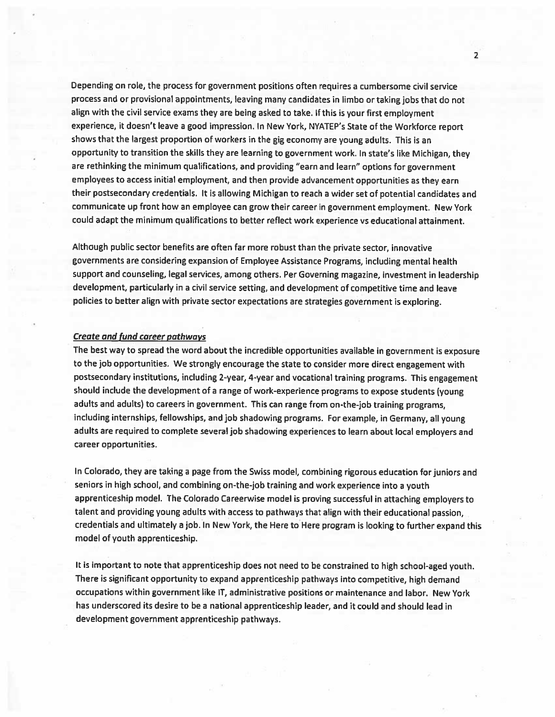Depending on role, the process for governmen<sup>t</sup> positions often requires <sup>a</sup> cumbersome civil service process and or provisional appointments, leaving many candidates in limbo or taking jobs that do not align with the civil service exams they are being asked to take. If this is your first employment experience, it doesn't leave <sup>a</sup> goo<sup>d</sup> impression. In New York, NYATEP's State of the Workforce repor<sup>t</sup> shows that the largest proportion of workers in the <sup>g</sup>ig economy are young adults. This is an opportunity to transition the skills they are learning to government work. In state's like Michigan, they are rethinking the minimum qualifications, and providing "earn and learn" options for governmen<sup>t</sup> employees to access initial employment, and then provide advancement opportunities as they earn their postsecondary credentials. It is allowing Michigan to reach <sup>a</sup> wider set of potential candidates and communicate up front how an employee can grow their career in governmen<sup>t</sup> employment. New York could adapt the minimum qualifications to better reflect work experience vs educational attainment.

Although public sector benefits are often far more robust than the private sector, innovative governments are considering expansion of Employee Assistance Programs, including mental health suppor<sup>t</sup> and counseling, legal services, among others. Per Governing magazine, investment in leadership development, particularly in <sup>a</sup> civil service setting, and development of competitive time and leave policies to better align with private sector expectations are strategies governmen<sup>t</sup> is exploring.

### Create and fund career pathways

The best way to sprea<sup>d</sup> the word about the incredible opportunities available in governmen<sup>t</sup> is exposure to the job opportunities. We strongly encourage the state to consider more direct engagemen<sup>t</sup> with postsecondary institutions, including 2-year, 4-year and vocational training programs. This engagemen<sup>t</sup> should include the development of <sup>a</sup> range of work-experience programs to expose students (young adults and adults) to careers in government. This can range from on-the-job training programs, including internships, fellowships, and job shadowing programs. For example, in Germany, all young adults are required to complete several job shadowing experiences to learn about local employers and career opportunities.

In Colorado, they are taking <sup>a</sup> page from the Swiss model, combining rigorous education for juniors and seniors in high school, and combining on-the-job training and work experience into <sup>a</sup> youth apprenticeship model. The Colorado Careerwise model is proving successful in attaching employers to talent and providing young adults with access to pathways that align with their educational passion, credentials and ultimately <sup>a</sup> job. In New York, the Here to Here program is looking to further expan<sup>d</sup> this model of youth apprenticeship.

It is important to note that apprenticeship does not need to be constrained to high school-aged youth. There is significant opportunity to expan<sup>d</sup> apprenticeship pathways into competitive, high demand occupations within governmen<sup>t</sup> like IT, administrative positions or maintenance and labor. New York has underscored its desire to be <sup>a</sup> national apprenticeship leader, and it could and should lead in development governmen<sup>t</sup> apprenticeship pathways.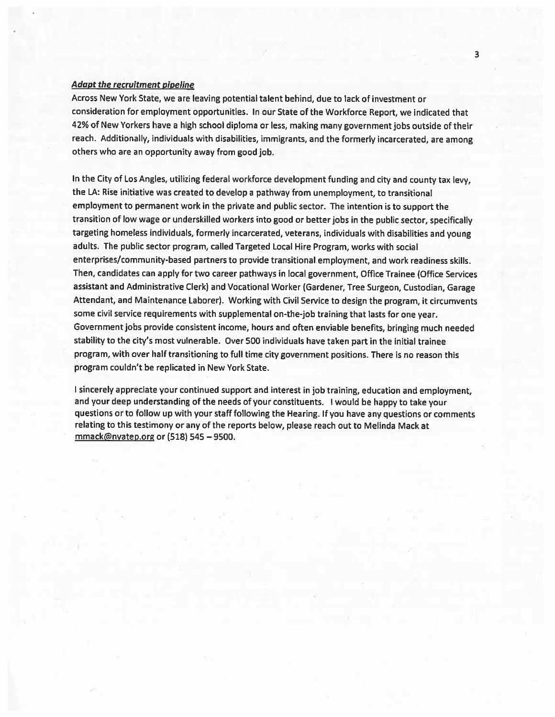# Adapt the recruitment <sup>p</sup>ipeline

Across New York State, we are leaving potential talent behind, due to lack of investment or consideration for employment opportunities. In our State of the Workforce Report, we indicated that 42% of New Yorkers have <sup>a</sup> high school diploma or less, making many governmen<sup>t</sup> jobs outside of their reach. Additionally, individuals with disabilities, immigrants, and the formerly incarcerated, are among others who are an opportunity away from goo<sup>d</sup> job.

In the City of Los Angles, utilizing federal workforce development funding and city and county tax levy, the LA: Rise initiative was created to develop <sup>a</sup> pathway from unemployment, to transitional employment to permanen<sup>t</sup> work in the private and public sector. The intention is to suppor<sup>t</sup> the transition of low wage or underskilled workers into goo<sup>d</sup> or better jobs in the public sector, specifically targeting homeless individuals, formerly incarcerated, veterans, individuals with disabilities and young adults. The public sector program, called Targeted Local Hire Program, works with social enterprises/community-based partners to provide transitional employment, and work readiness skills. Then, candidates can apply for two career pathways in local government, Office Trainee (Office Services assistant and Administrative Clerk) and Vocational Worker (Gardener, Tree Surgeon, Custodian, Garage Attendant, and Maintenance Laborer). Working with Civil Service to design the program, it circumvents some civil service requirements with supplemental on-the-job training that lasts for one year. Government jobs provide consistent income, hours and often enviable benefits, bringing much needed stability to the city's most vulnerable. Over <sup>500</sup> individuals have taken par<sup>t</sup> in the initial trainee program, with over half transitioning to full time city governmen<sup>t</sup> positions. There is no reason this program couldn't be replicated in New York State.

sincerely appreciate your continued suppor<sup>t</sup> and interest in job training, education and employment, and your deep understanding of the needs of your constituents. <sup>I</sup> would be happy to take your questions or to follow up with your staff following the Hearing. If you have any questions or comments relating to this testimony or any of the reports below, <sup>p</sup>lease reach out to Melinda Mack at mmack@nyatep.org or (518) 545—9500.